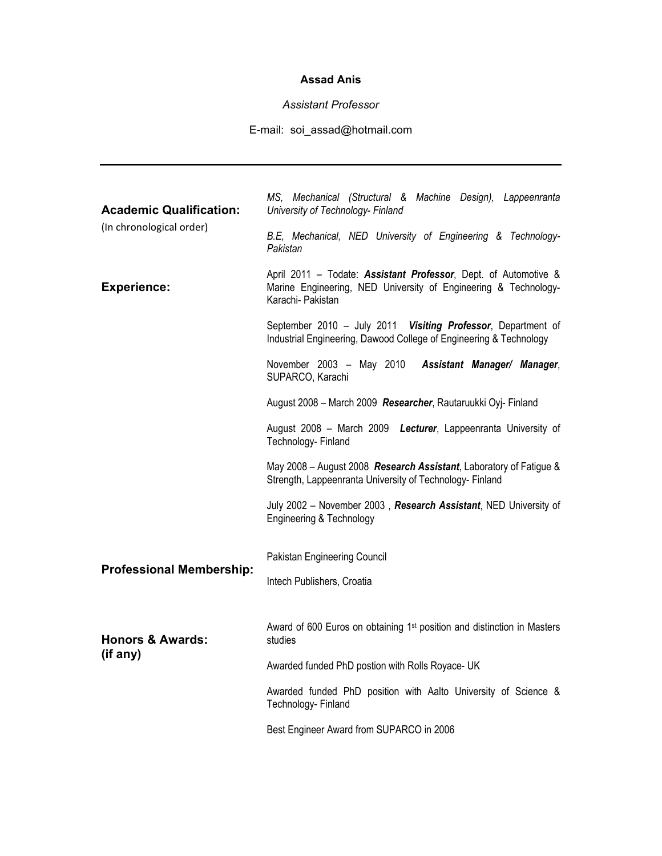## **Assad Anis**

## *Assistant Professor*

## E-mail: soi\_assad@hotmail.com

| <b>Academic Qualification:</b><br>(In chronological order)<br><b>Experience:</b> | MS, Mechanical (Structural & Machine Design), Lappeenranta<br>University of Technology- Finland<br>B.E, Mechanical, NED University of Engineering & Technology-<br>Pakistan<br>April 2011 - Todate: Assistant Professor, Dept. of Automotive &<br>Marine Engineering, NED University of Engineering & Technology-<br>Karachi- Pakistan<br>September 2010 - July 2011 Visiting Professor, Department of<br>Industrial Engineering, Dawood College of Engineering & Technology |
|----------------------------------------------------------------------------------|------------------------------------------------------------------------------------------------------------------------------------------------------------------------------------------------------------------------------------------------------------------------------------------------------------------------------------------------------------------------------------------------------------------------------------------------------------------------------|
|                                                                                  | November 2003 - May 2010 Assistant Manager/ Manager,<br>SUPARCO, Karachi                                                                                                                                                                                                                                                                                                                                                                                                     |
|                                                                                  | August 2008 - March 2009 Researcher, Rautaruukki Oyj- Finland                                                                                                                                                                                                                                                                                                                                                                                                                |
|                                                                                  | August 2008 - March 2009 Lecturer, Lappeenranta University of<br>Technology- Finland                                                                                                                                                                                                                                                                                                                                                                                         |
|                                                                                  | May 2008 – August 2008 Research Assistant, Laboratory of Fatigue &<br>Strength, Lappeenranta University of Technology- Finland                                                                                                                                                                                                                                                                                                                                               |
|                                                                                  | July 2002 - November 2003, Research Assistant, NED University of<br>Engineering & Technology                                                                                                                                                                                                                                                                                                                                                                                 |
| <b>Professional Membership:</b>                                                  | Pakistan Engineering Council                                                                                                                                                                                                                                                                                                                                                                                                                                                 |
|                                                                                  | Intech Publishers, Croatia                                                                                                                                                                                                                                                                                                                                                                                                                                                   |
| <b>Honors &amp; Awards:</b><br>(if any)                                          | Award of 600 Euros on obtaining 1 <sup>st</sup> position and distinction in Masters<br>studies<br>Awarded funded PhD postion with Rolls Royace- UK                                                                                                                                                                                                                                                                                                                           |
|                                                                                  | Awarded funded PhD position with Aalto University of Science &<br>Technology- Finland                                                                                                                                                                                                                                                                                                                                                                                        |
|                                                                                  | Best Engineer Award from SUPARCO in 2006                                                                                                                                                                                                                                                                                                                                                                                                                                     |